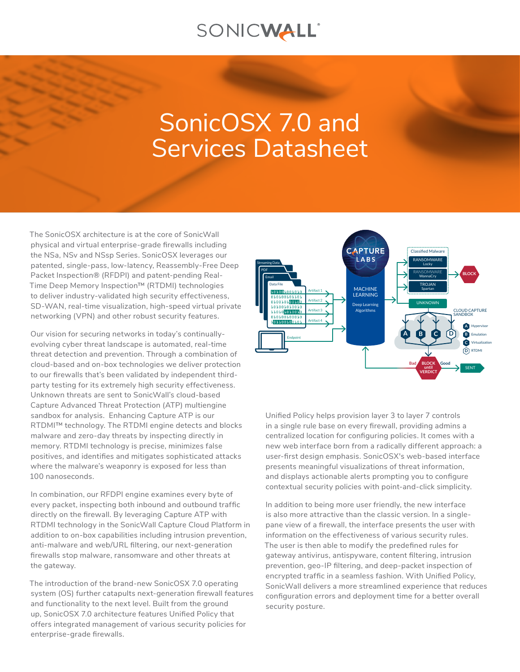## SONICWALL®

# SonicOSX 7.0 and Services Datasheet

The SonicOSX architecture is at the core of SonicWall physical and virtual enterprise-grade firewalls including the NSa, NSv and NSsp Series. SonicOSX leverages our patented, single-pass, low-latency, Reassembly-Free Deep Packet Inspection® (RFDPI) and patent-pending Real-Time Deep Memory Inspection™ (RTDMI) technologies to deliver industry‑validated high security effectiveness, SD‑WAN, real-time visualization, high-speed virtual private networking (VPN) and other robust security features.

Our vision for securing networks in today's continuallyevolving cyber threat landscape is automated, real-time threat detection and prevention. Through a combination of cloud-based and on-box technologies we deliver protection to our firewalls that's been validated by independent thirdparty testing for its extremely high security effectiveness. Unknown threats are sent to SonicWall's cloud-based Capture Advanced Threat Protection (ATP) multiengine sandbox for analysis. Enhancing Capture ATP is our RTDMI™ technology. The RTDMI engine detects and blocks malware and zero-day threats by inspecting directly in memory. RTDMI technology is precise, minimizes false positives, and identifies and mitigates sophisticated attacks where the malware's weaponry is exposed for less than 100 nanoseconds.

In combination, our RFDPI engine examines every byte of every packet, inspecting both inbound and outbound traffic directly on the firewall. By leveraging Capture ATP with RTDMI technology in the SonicWall Capture Cloud Platform in addition to on-box capabilities including intrusion prevention, anti-malware and web/URL filtering, our next-generation firewalls stop malware, ransomware and other threats at the gateway.

The introduction of the brand-new SonicOSX 7.0 operating system (OS) further catapults next-generation firewall features and functionality to the next level. Built from the ground up, SonicOSX 7.0 architecture features Unified Policy that offers integrated management of various security policies for enterprise-grade firewalls.



Unified Policy helps provision layer 3 to layer 7 controls in a single rule base on every firewall, providing admins a centralized location for configuring policies. It comes with a new web interface born from a radically different approach: a user-first design emphasis. SonicOSX's web-based interface presents meaningful visualizations of threat information, and displays actionable alerts prompting you to configure contextual security policies with point-and-click simplicity.

In addition to being more user friendly, the new interface is also more attractive than the classic version. In a singlepane view of a firewall, the interface presents the user with information on the effectiveness of various security rules. The user is then able to modify the predefined rules for gateway antivirus, antispyware, content filtering, intrusion prevention, geo-IP filtering, and deep-packet inspection of encrypted traffic in a seamless fashion. With Unified Policy, SonicWall delivers a more streamlined experience that reduces configuration errors and deployment time for a better overall security posture.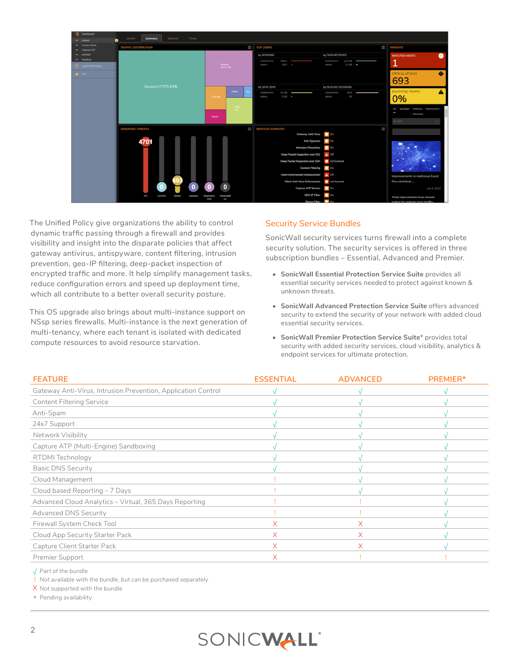

The Unified Policy give organizations the ability to control dynamic traffic passing through a firewall and provides visibility and insight into the disparate policies that affect gateway antivirus, antispyware, content filtering, intrusion prevention, geo-IP filtering, deep-packet inspection of encrypted traffic and more. It help simplify management tasks, reduce configuration errors and speed up deployment time, which all contribute to a better overall security posture.

This OS upgrade also brings about multi-instance support on NSsp series firewalls. Multi-instance is the next generation of multi-tenancy, where each tenant is isolated with dedicated compute resources to avoid resource starvation.

#### Security Service Bundles

SonicWall security services turns firewall into a complete security solution. The security services is offered in three subscription bundles – Essential, Advanced and Premier.

- **• SonicWall Essential Protection Service Suite** provides all essential security services needed to protect against known & unknown threats.
- **• SonicWall Advanced Protection Service Suite** offers advanced security to extend the security of your network with added cloud essential security services.
- **• SonicWall Premier Protection Service Suite**\* provides total security with added security services, cloud visibility, analytics & endpoint services for ultimate protection.

| <b>FEATURE</b>                                                | <b>ESSENTIAL</b> | <b>ADVANCED</b> | PREMIER* |
|---------------------------------------------------------------|------------------|-----------------|----------|
| Gateway Anti-Virus, Intrusion Prevention, Application Control |                  |                 |          |
| <b>Content Filtering Service</b>                              |                  |                 |          |
| Anti-Spam                                                     |                  |                 |          |
| 24x7 Support                                                  |                  |                 |          |
| Network Visibility                                            |                  |                 |          |
| Capture ATP (Multi-Engine) Sandboxing                         |                  |                 |          |
| RTDMI Technology                                              |                  |                 |          |
| <b>Basic DNS Security</b>                                     |                  |                 |          |
| Cloud Management                                              |                  |                 |          |
| Cloud based Reporting - 7 Days                                |                  |                 |          |
| Advanced Cloud Analytics - Virtual, 365 Days Reporting        |                  |                 |          |
| Advanced DNS Security                                         |                  |                 |          |
| Firewall System Check Tool                                    | X.               | X               |          |
| Cloud App Security Starter Pack                               | X.               | X.              |          |
| Capture Client Starter Pack                                   | X.               | X               |          |
| Premier Support                                               | X                |                 |          |

√ *Part of the bundle*

! *Not available with the bundle, but can be purchased separately*

X *Not supported with the bundle*

\* *Pending availability*

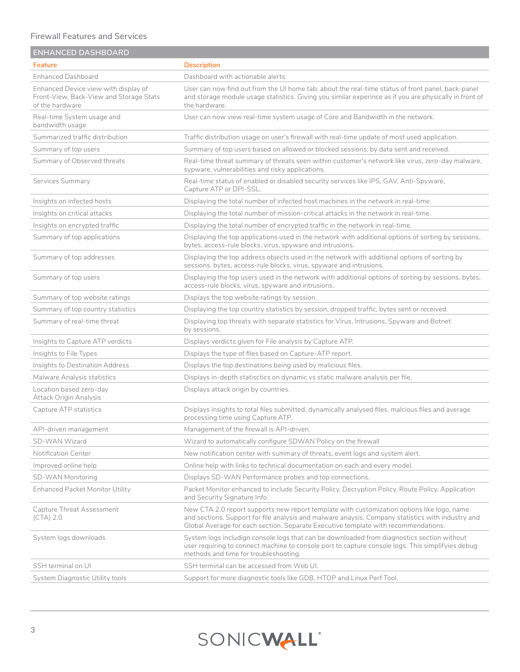#### Firewall Features and Services

| <b>ENHANCED DASHBOARD</b>                                                                          |                                                                                                                                                                                                                                                                                       |
|----------------------------------------------------------------------------------------------------|---------------------------------------------------------------------------------------------------------------------------------------------------------------------------------------------------------------------------------------------------------------------------------------|
| Feature                                                                                            | <b>Description</b>                                                                                                                                                                                                                                                                    |
| <b>Enhanced Dashboard</b>                                                                          | Dashboard with actionable alerts.                                                                                                                                                                                                                                                     |
| Enhanced Device view with display of<br>Front-View, Back-View and Storage Stats<br>of the hardware | User can now find out from the UI home tab, about the real-time status of front panel, back-panel<br>and storage module usage statistics. Giving you similar experince as if you are physically in front of<br>the hardware.                                                          |
| Real-time System usage and<br>bandwidth usage                                                      | User can now view real-time system usage of Core and Bandwidth in the network.                                                                                                                                                                                                        |
| Summarized traffic distribution                                                                    | Traffic distribution usage on user's firewall with real-time update of most used application.                                                                                                                                                                                         |
| Summary of top users                                                                               | Summary of top users based on allowed or blocked sessions; by data sent and received.                                                                                                                                                                                                 |
| Summary of Observed threats                                                                        | Real-time threat summary of threats seen within customer's network like virus, zero-day malware,<br>sypware, vulnerabilities and risky applications.                                                                                                                                  |
| Services Summary                                                                                   | Real-time status of enabled or disabled security services like IPS, GAV, Anti-Spyware,<br>Capture ATP or DPI-SSL.                                                                                                                                                                     |
| Insights on infected hosts                                                                         | Displaying the total number of infected host machines in the network in real-time.                                                                                                                                                                                                    |
| Insights on critical attacks                                                                       | Displaying the total number of mission-critical attacks in the network in real-time.                                                                                                                                                                                                  |
| Insights on encrypted traffic                                                                      | Displaying the total number of encrypted traffic in the network in real-time.                                                                                                                                                                                                         |
| Summary of top applications                                                                        | Displaying the top applications used in the network with additional options of sorting by sessions,<br>bytes, access-rule blocks, virus, spyware and intrusions.                                                                                                                      |
| Summary of top addresses                                                                           | Displaying the top address objects used in the network with additional options of sorting by<br>sessions, bytes, access-rule blocks, virus, spyware and intrusions.                                                                                                                   |
| Summary of top users                                                                               | Displaying the top users used in the network with additional options of sorting by sessions, bytes,<br>access-rule blocks, virus, spyware and intrusions.                                                                                                                             |
| Summary of top website ratings                                                                     | Displays the top website ratings by session.                                                                                                                                                                                                                                          |
| Summary of top country statistics                                                                  | Displaying the top country statistics by session, dropped traffic, bytes sent or received.                                                                                                                                                                                            |
| Summary of real-time threat                                                                        | Displaying top threats with separate statistics for Virus, Intrusions, Spyware and Botnet<br>by sessions.                                                                                                                                                                             |
| Insights to Capture ATP verdicts                                                                   | Displays verdicts given for File analysis by Capture ATP.                                                                                                                                                                                                                             |
| Insights to File Types                                                                             | Displays the type of files based on Capture-ATP report.                                                                                                                                                                                                                               |
| Insights to Destination Address                                                                    | Displays the top destinations being used by malicious files.                                                                                                                                                                                                                          |
| Malware Analysis statistics                                                                        | Displays in-depth statisctics on dynamic vs static malware analysis per file.                                                                                                                                                                                                         |
| Location based zero-day<br>Attack Origin Analysis                                                  | Displays attack origin by countries.                                                                                                                                                                                                                                                  |
| Capture ATP statistics                                                                             | Dsiplays insights to total files submitted, dynamically analysed files, malcious files and average<br>processing time using Capture ATP.                                                                                                                                              |
| API-driven management                                                                              | Management of the firewall is API-driven.                                                                                                                                                                                                                                             |
| SD-WAN Wizard                                                                                      | Wizard to automatically configure SDWAN Policy on the firewall                                                                                                                                                                                                                        |
| Notification Center                                                                                | New notification center with summary of threats, event logs and system alert.                                                                                                                                                                                                         |
| Improved online help                                                                               | Online help with links to technical documentation on each and every model.                                                                                                                                                                                                            |
| SD-WAN Monitoring                                                                                  | Displays SD-WAN Performance probes and top connections.                                                                                                                                                                                                                               |
| Enhanced Packet Monitor Utility                                                                    | Packet Monitor enhanced to include Security Policy, Decryption Policy, Route Policy, Application<br>and Security Signature Info.                                                                                                                                                      |
| Capture Threat Assessment<br>$(CTA)$ 2.0                                                           | New CTA 2.0 report supports new report template with customization options like logo, name<br>and sections. Support for file analysis and malware anaysis. Company statistics with industry and<br>Global Average for each section. Separate Executive template with recommendations. |
| System logs downloads                                                                              | System logs includign console logs that can be downloaded from diagnostics section without<br>user requiring to connect machine to console port to capture console logs. This simplifyies debug<br>methods and time for troubleshooting.                                              |
| SSH terminal on UI                                                                                 | SSH terminal can be accessed from Web UI.                                                                                                                                                                                                                                             |
| System Diagnostic Utility tools                                                                    | Support for more diagnostic tools like GDB, HTOP and Linux Perf Tool.                                                                                                                                                                                                                 |

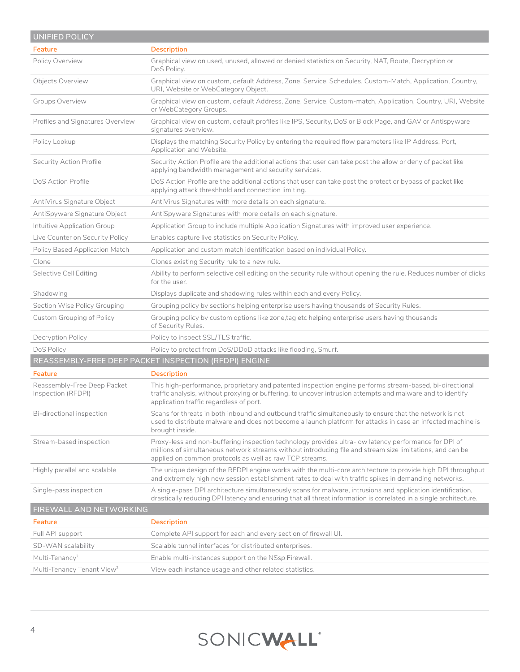| <b>UNIFIED POLICY</b>                             |                                                                                                                                                                                                                                                                              |
|---------------------------------------------------|------------------------------------------------------------------------------------------------------------------------------------------------------------------------------------------------------------------------------------------------------------------------------|
| Feature                                           | <b>Description</b>                                                                                                                                                                                                                                                           |
| Policy Overview                                   | Graphical view on used, unused, allowed or denied statistics on Security, NAT, Route, Decryption or<br>DoS Policy.                                                                                                                                                           |
| Objects Overview                                  | Graphical view on custom, default Address, Zone, Service, Schedules, Custom-Match, Application, Country,<br>URI, Website or WebCategory Object.                                                                                                                              |
| Groups Overview                                   | Graphical view on custom, default Address, Zone, Service, Custom-match, Application, Country, URI, Website<br>or WebCategory Groups.                                                                                                                                         |
| Profiles and Signatures Overview                  | Graphical view on custom, default profiles like IPS, Security, DoS or Block Page, and GAV or Antispyware<br>signatures overview.                                                                                                                                             |
| Policy Lookup                                     | Displays the matching Security Policy by entering the required flow parameters like IP Address, Port,<br>Application and Website.                                                                                                                                            |
| Security Action Profile                           | Security Action Profile are the additional actions that user can take post the allow or deny of packet like<br>applying bandwidth management and security services.                                                                                                          |
| DoS Action Profile                                | DoS Action Profile are the additional actions that user can take post the protect or bypass of packet like<br>applying attack threshhold and connection limiting.                                                                                                            |
| AntiVirus Signature Object                        | AntiVirus Signatures with more details on each signature.                                                                                                                                                                                                                    |
| AntiSpyware Signature Object                      | AntiSpyware Signatures with more details on each signature.                                                                                                                                                                                                                  |
| Intuitive Application Group                       | Application Group to include multiple Application Signatures with improved user experience.                                                                                                                                                                                  |
| Live Counter on Security Policy                   | Enables capture live statistics on Security Policy.                                                                                                                                                                                                                          |
| Policy Based Application Match                    | Application and custom match identification based on individual Policy.                                                                                                                                                                                                      |
| Clone                                             | Clones existing Security rule to a new rule.                                                                                                                                                                                                                                 |
| Selective Cell Editing                            | Ability to perform selective cell editing on the security rule without opening the rule. Reduces number of clicks<br>for the user.                                                                                                                                           |
| Shadowing                                         | Displays duplicate and shadowing rules within each and every Policy.                                                                                                                                                                                                         |
| Section Wise Policy Grouping                      | Grouping policy by sections helping enterprise users having thousands of Security Rules.                                                                                                                                                                                     |
| Custom Grouping of Policy                         | Grouping policy by custom options like zone,tag etc helping enterprise users having thousands<br>of Security Rules.                                                                                                                                                          |
| Decryption Policy                                 | Policy to inspect SSL/TLS traffic.                                                                                                                                                                                                                                           |
| DoS Policy                                        | Policy to protect from DoS/DDoD attacks like flooding, Smurf.                                                                                                                                                                                                                |
|                                                   | REASSEMBLY-FREE DEEP PACKET INSPECTION (RFDPI) ENGINE                                                                                                                                                                                                                        |
| Feature                                           | <b>Description</b>                                                                                                                                                                                                                                                           |
| Reassembly-Free Deep Packet<br>Inspection (RFDPI) | This high-performance, proprietary and patented inspection engine performs stream-based, bi-directional<br>traffic analysis, without proxying or buffering, to uncover intrusion attempts and malware and to identify<br>application traffic regardless of port.             |
| Bi-directional inspection                         | Scans for threats in both inbound and outbound traffic simultaneously to ensure that the network is not<br>used to distribute malware and does not become a launch platform for attacks in case an infected machine is<br>brought inside.                                    |
| Stream-based inspection                           | Proxy-less and non-buffering inspection technology provides ultra-low latency performance for DPI of<br>millions of simultaneous network streams without introducing file and stream size limitations, and can be<br>applied on common protocols as well as raw TCP streams. |
| Highly parallel and scalable                      | The unique design of the RFDPI engine works with the multi-core architecture to provide high DPI throughput<br>and extremely high new session establishment rates to deal with traffic spikes in demanding networks.                                                         |
| Single-pass inspection                            | A single-pass DPI architecture simultaneously scans for malware, intrusions and application identification,<br>drastically reducing DPI latency and ensuring that all threat information is correlated in a single architecture.                                             |
| FIREWALL AND NETWORKING                           |                                                                                                                                                                                                                                                                              |
| Feature                                           | <b>Description</b>                                                                                                                                                                                                                                                           |
| Full API support                                  | Complete API support for each and every section of firewall UI.                                                                                                                                                                                                              |
| SD-WAN scalability                                | Scalable tunnel interfaces for distributed enterprises.                                                                                                                                                                                                                      |
| Multi-Tenancy <sup>2</sup>                        | Enable multi-instances support on the NSsp Firewall.                                                                                                                                                                                                                         |
| Multi-Tenancy Tenant View <sup>2</sup>            | View each instance usage and other related statistics.                                                                                                                                                                                                                       |

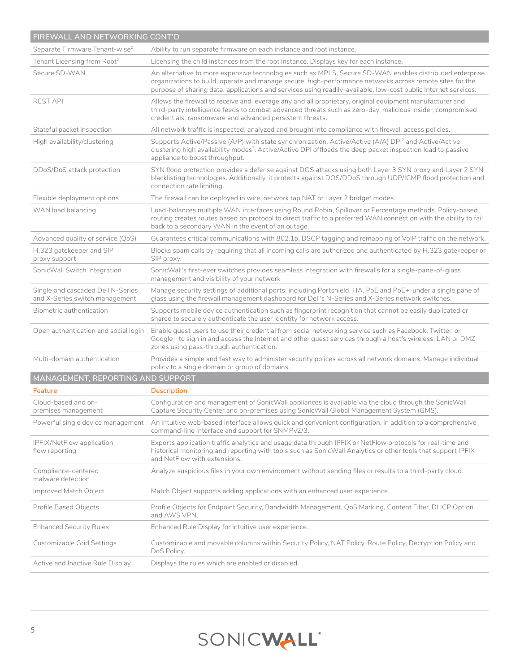| FIREWALL AND NETWORKING CONT'D                                      |                                                                                                                                                                                                                                                                                                                                        |  |
|---------------------------------------------------------------------|----------------------------------------------------------------------------------------------------------------------------------------------------------------------------------------------------------------------------------------------------------------------------------------------------------------------------------------|--|
| Separate Firmware Tenant-wise <sup>2</sup>                          | Ability to run separate firmware on each instance and root instance.                                                                                                                                                                                                                                                                   |  |
| Tenant Licensing from Root <sup>2</sup>                             | Licensing the child instances from the root instance. Displays key for each instance.                                                                                                                                                                                                                                                  |  |
| Secure SD-WAN                                                       | An alternative to more expensive technologies such as MPLS, Secure SD-WAN enables distributed enterprise<br>organizations to build, operate and manage secure, high-performance networks across remote sites for the<br>purpose of sharing data, applications and services using readily-available, low-cost public Internet services. |  |
| <b>REST API</b>                                                     | Allows the firewall to receive and leverage any and all proprietary, original equipment manufacturer and<br>third-party intelligence feeds to combat advanced threats such as zero-day, malicious insider, compromised<br>credentials, ransomware and advanced persistent threats.                                                     |  |
| Stateful packet inspection                                          | All network traffic is inspected, analyzed and brought into compliance with firewall access policies.                                                                                                                                                                                                                                  |  |
| High availability/clustering                                        | Supports Active/Passive (A/P) with state synchronization, Active/Active (A/A) DPI <sup>2</sup> and Active/Active<br>clustering high availability modes <sup>2</sup> . Active/Active DPI offloads the deep packet inspection load to passive<br>appliance to boost throughput.                                                          |  |
| DDoS/DoS attack protection                                          | SYN flood protection provides a defense against DOS attacks using both Layer 3 SYN proxy and Layer 2 SYN<br>blacklisting technologies. Additionally, it protects against DOS/DDoS through UDP/ICMP flood protection and<br>connection rate limiting.                                                                                   |  |
| Flexible deployment options                                         | The firewall can be deployed in wire, network tap NAT or Layer 2 bridge <sup>2</sup> modes.                                                                                                                                                                                                                                            |  |
| WAN load balancing                                                  | Load-balances multiple WAN interfaces using Round Robin, Spillover or Percentage methods. Policy-based<br>routing creates routes based on protocol to direct traffic to a preferred WAN connection with the ability to fail<br>back to a secondary WAN in the event of an outage.                                                      |  |
| Advanced quality of service (QoS)                                   | Guarantees critical communications with 802.1p, DSCP tagging and remapping of VoIP traffic on the network.                                                                                                                                                                                                                             |  |
| H.323 gatekeeper and SIP<br>proxy support                           | Blocks spam calls by requiring that all incoming calls are authorized and authenticated by H.323 gatekeeper or<br>SIP proxy.                                                                                                                                                                                                           |  |
| SonicWall Switch Integration                                        | SonicWall's first-ever switches provides seamless integration with firewalls for a single-pane-of-glass<br>management and visibility of your network                                                                                                                                                                                   |  |
| Single and cascaded Dell N-Series<br>and X-Series switch management | Manage security settings of additional ports, including Portshield, HA, PoE and PoE+, under a single pane of<br>glass using the firewall management dashboard for Dell's N-Series and X-Series network switches.                                                                                                                       |  |
| Biometric authentication                                            | Supports mobile device authentication such as fingerprint recognition that cannot be easily duplicated or<br>shared to securely authenticate the user identity for network access.                                                                                                                                                     |  |
| Open authentication and social login                                | Enable guest users to use their credential from social networking service such as Facebook, Twitter, or<br>Google+ to sign in and access the Internet and other guest services through a host's wireless, LAN or DMZ<br>zones using pass-through authentication.                                                                       |  |
| Multi-domain authentication                                         | Provides a simple and fast way to administer security polices across all network domains. Manage individual<br>policy to a single domain or group of domains.                                                                                                                                                                          |  |
| MANAGEMENT, REPORTING AND SUPPORT                                   |                                                                                                                                                                                                                                                                                                                                        |  |
| Feature                                                             | <b>Description</b>                                                                                                                                                                                                                                                                                                                     |  |
| Cloud-based and on-<br>premises management                          | Configuration and management of SonicWall appliances is available via the cloud through the SonicWall<br>Capture Security Center and on-premises using SonicWall Global Management System (GMS).                                                                                                                                       |  |
|                                                                     | Powerful single device management An intuitive web-based interface allows quick and convenient configuration, in addition to a comprehensive<br>command-line interface and support for SNMPv2/3.                                                                                                                                       |  |
| IPFIX/NetFlow application<br>flow reporting                         | Exports application traffic analytics and usage data through IPFIX or NetFlow protocols for real-time and<br>historical monitoring and reporting with tools such as SonicWall Analytics or other tools that support IPFIX<br>and NetFlow with extensions.                                                                              |  |
| Compliance-centered<br>malware detection                            | Analyze suspicious files in your own environment without sending files or results to a third-party cloud.                                                                                                                                                                                                                              |  |
| Improved Match Object                                               | Match Object supports adding applications with an enhanced user experience.                                                                                                                                                                                                                                                            |  |
| Profile Based Objects                                               | Profile Objects for Endpoint Security, Bandwidth Management, QoS Marking, Content Filter, DHCP Option<br>and AWS VPN.                                                                                                                                                                                                                  |  |
| <b>Enhanced Security Rules</b>                                      | Enhanced Rule Display for intuitive user experience.                                                                                                                                                                                                                                                                                   |  |
| Customizable Grid Settings                                          | Customizable and movable columns within Security Policy, NAT Policy, Route Policy, Decryption Policy and<br>DoS Policy.                                                                                                                                                                                                                |  |
| Active and Inactive Rule Display                                    | Displays the rules which are enabled or disabled.                                                                                                                                                                                                                                                                                      |  |

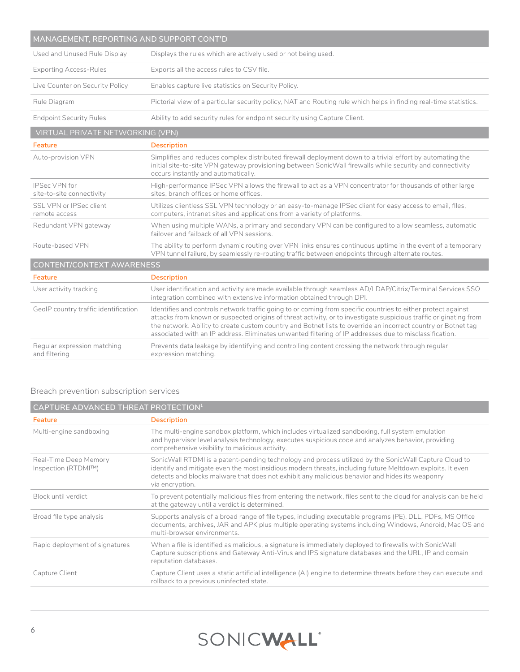| MANAGEMENT, REPORTING AND SUPPORT CONT'D          |                                                                                                                                                                                                                                                                                                                                                                                                                                                              |  |
|---------------------------------------------------|--------------------------------------------------------------------------------------------------------------------------------------------------------------------------------------------------------------------------------------------------------------------------------------------------------------------------------------------------------------------------------------------------------------------------------------------------------------|--|
| Used and Unused Rule Display                      | Displays the rules which are actively used or not being used.                                                                                                                                                                                                                                                                                                                                                                                                |  |
| <b>Exporting Access-Rules</b>                     | Exports all the access rules to CSV file.                                                                                                                                                                                                                                                                                                                                                                                                                    |  |
| Live Counter on Security Policy                   | Enables capture live statistics on Security Policy.                                                                                                                                                                                                                                                                                                                                                                                                          |  |
| Rule Diagram                                      | Pictorial view of a particular security policy, NAT and Routing rule which helps in finding real-time statistics.                                                                                                                                                                                                                                                                                                                                            |  |
| <b>Endpoint Security Rules</b>                    | Ability to add security rules for endpoint security using Capture Client.                                                                                                                                                                                                                                                                                                                                                                                    |  |
| VIRTUAL PRIVATE NETWORKING (VPN)                  |                                                                                                                                                                                                                                                                                                                                                                                                                                                              |  |
| Feature                                           | <b>Description</b>                                                                                                                                                                                                                                                                                                                                                                                                                                           |  |
| Auto-provision VPN                                | Simplifies and reduces complex distributed firewall deployment down to a trivial effort by automating the<br>initial site-to-site VPN gateway provisioning between SonicWall firewalls while security and connectivity<br>occurs instantly and automatically.                                                                                                                                                                                                |  |
| <b>IPSec VPN for</b><br>site-to-site connectivity | High-performance IPSec VPN allows the firewall to act as a VPN concentrator for thousands of other large<br>sites, branch offices or home offices.                                                                                                                                                                                                                                                                                                           |  |
| SSL VPN or IPSec client<br>remote access          | Utilizes clientless SSL VPN technology or an easy-to-manage IPSec client for easy access to email, files,<br>computers, intranet sites and applications from a variety of platforms.                                                                                                                                                                                                                                                                         |  |
| Redundant VPN gateway                             | When using multiple WANs, a primary and secondary VPN can be configured to allow seamless, automatic<br>failover and failback of all VPN sessions.                                                                                                                                                                                                                                                                                                           |  |
| Route-based VPN                                   | The ability to perform dynamic routing over VPN links ensures continuous uptime in the event of a temporary<br>VPN tunnel failure, by seamlessly re-routing traffic between endpoints through alternate routes.                                                                                                                                                                                                                                              |  |
| <b>CONTENT/CONTEXT AWARENESS</b>                  |                                                                                                                                                                                                                                                                                                                                                                                                                                                              |  |
| Feature                                           | <b>Description</b>                                                                                                                                                                                                                                                                                                                                                                                                                                           |  |
| User activity tracking                            | User identification and activity are made available through seamless AD/LDAP/Citrix/Terminal Services SSO<br>integration combined with extensive information obtained through DPI.                                                                                                                                                                                                                                                                           |  |
| GeolP country traffic identification              | Identifies and controls network traffic going to or coming from specific countries to either protect against<br>attacks from known or suspected origins of threat activity, or to investigate suspicious traffic originating from<br>the network. Ability to create custom country and Botnet lists to override an incorrect country or Botnet tag<br>associated with an IP address. Eliminates unwanted filtering of IP addresses due to misclassification. |  |
| Regular expression matching<br>and filtering      | Prevents data leakage by identifying and controlling content crossing the network through regular<br>expression matching.                                                                                                                                                                                                                                                                                                                                    |  |

### Breach prevention subscription services

| CAPTURE ADVANCED THREAT PROTECTION <sup>1</sup> |                                                                                                                                                                                                                                                                                                                                         |
|-------------------------------------------------|-----------------------------------------------------------------------------------------------------------------------------------------------------------------------------------------------------------------------------------------------------------------------------------------------------------------------------------------|
| Feature                                         | <b>Description</b>                                                                                                                                                                                                                                                                                                                      |
| Multi-engine sandboxing                         | The multi-engine sandbox platform, which includes virtualized sandboxing, full system emulation<br>and hypervisor level analysis technology, executes suspicious code and analyzes behavior, providing<br>comprehensive visibility to malicious activity.                                                                               |
| Real-Time Deep Memory<br>Inspection (RTDMI™)    | SonicWall RTDMI is a patent-pending technology and process utilized by the SonicWall Capture Cloud to<br>identify and mitigate even the most insidious modern threats, including future Meltdown exploits. It even<br>detects and blocks malware that does not exhibit any malicious behavior and hides its weaponry<br>via encryption. |
| Block until verdict                             | To prevent potentially malicious files from entering the network, files sent to the cloud for analysis can be held<br>at the gateway until a verdict is determined.                                                                                                                                                                     |
| Broad file type analysis                        | Supports analysis of a broad range of file types, including executable programs (PE), DLL, PDFs, MS Office<br>documents, archives, JAR and APK plus multiple operating systems including Windows, Android, Mac OS and<br>multi-browser environments.                                                                                    |
| Rapid deployment of signatures                  | When a file is identified as malicious, a signature is immediately deployed to firewalls with SonicWall<br>Capture subscriptions and Gateway Anti-Virus and IPS signature databases and the URL, IP and domain<br>reputation databases.                                                                                                 |
| Capture Client                                  | Capture Client uses a static artificial intelligence (AI) engine to determine threats before they can execute and<br>rollback to a previous uninfected state.                                                                                                                                                                           |

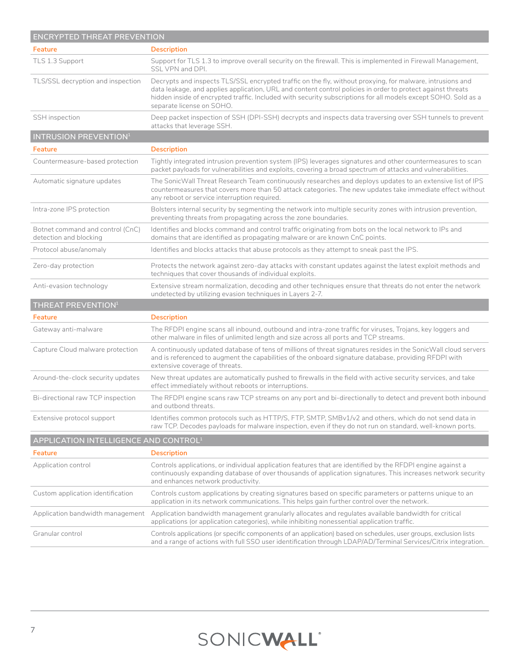| ENCRYPTED THREAT PREVENTION                                |                                                                                                                                                                                                                                                                                                                                                                         |  |
|------------------------------------------------------------|-------------------------------------------------------------------------------------------------------------------------------------------------------------------------------------------------------------------------------------------------------------------------------------------------------------------------------------------------------------------------|--|
| Feature                                                    | <b>Description</b>                                                                                                                                                                                                                                                                                                                                                      |  |
| TLS 1.3 Support                                            | Support for TLS 1.3 to improve overall security on the firewall. This is implemented in Firewall Management,<br>SSL VPN and DPI.                                                                                                                                                                                                                                        |  |
| TLS/SSL decryption and inspection                          | Decrypts and inspects TLS/SSL encrypted traffic on the fly, without proxying, for malware, intrusions and<br>data leakage, and applies application, URL and content control policies in order to protect against threats<br>hidden inside of encrypted traffic. Included with security subscriptions for all models except SOHO. Sold as a<br>separate license on SOHO. |  |
| SSH inspection                                             | Deep packet inspection of SSH (DPI-SSH) decrypts and inspects data traversing over SSH tunnels to prevent<br>attacks that leverage SSH.                                                                                                                                                                                                                                 |  |
| <b>INTRUSION PREVENTION<sup>1</sup></b>                    |                                                                                                                                                                                                                                                                                                                                                                         |  |
| Feature                                                    | <b>Description</b>                                                                                                                                                                                                                                                                                                                                                      |  |
| Countermeasure-based protection                            | Tightly integrated intrusion prevention system (IPS) leverages signatures and other countermeasures to scan<br>packet payloads for vulnerabilities and exploits, covering a broad spectrum of attacks and vulnerabilities.                                                                                                                                              |  |
| Automatic signature updates                                | The SonicWall Threat Research Team continuously researches and deploys updates to an extensive list of IPS<br>countermeasures that covers more than 50 attack categories. The new updates take immediate effect without<br>any reboot or service interruption required.                                                                                                 |  |
| Intra-zone IPS protection                                  | Bolsters internal security by segmenting the network into multiple security zones with intrusion prevention,<br>preventing threats from propagating across the zone boundaries.                                                                                                                                                                                         |  |
| Botnet command and control (CnC)<br>detection and blocking | Identifies and blocks command and control traffic originating from bots on the local network to IPs and<br>domains that are identified as propagating malware or are known CnC points.                                                                                                                                                                                  |  |
| Protocol abuse/anomaly                                     | Identifies and blocks attacks that abuse protocols as they attempt to sneak past the IPS.                                                                                                                                                                                                                                                                               |  |
| Zero-day protection                                        | Protects the network against zero-day attacks with constant updates against the latest exploit methods and<br>techniques that cover thousands of individual exploits.                                                                                                                                                                                                   |  |
| Anti-evasion technology                                    | Extensive stream normalization, decoding and other techniques ensure that threats do not enter the network<br>undetected by utilizing evasion techniques in Layers 2-7.                                                                                                                                                                                                 |  |
| THREAT PREVENTION <sup>1</sup>                             |                                                                                                                                                                                                                                                                                                                                                                         |  |
| Feature                                                    | <b>Description</b>                                                                                                                                                                                                                                                                                                                                                      |  |
| Gateway anti-malware                                       | The RFDPI engine scans all inbound, outbound and intra-zone traffic for viruses, Trojans, key loggers and<br>other malware in files of unlimited length and size across all ports and TCP streams.                                                                                                                                                                      |  |
| Capture Cloud malware protection                           | A continuously updated database of tens of millions of threat signatures resides in the SonicWall cloud servers<br>and is referenced to augment the capabilities of the onboard signature database, providing RFDPI with<br>extensive coverage of threats.                                                                                                              |  |
| Around-the-clock security updates                          | New threat updates are automatically pushed to firewalls in the field with active security services, and take<br>effect immediately without reboots or interruptions.                                                                                                                                                                                                   |  |
| Bi-directional raw TCP inspection                          | The RFDPI engine scans raw TCP streams on any port and bi-directionally to detect and prevent both inbound<br>and outbond threats.                                                                                                                                                                                                                                      |  |
| Extensive protocol support                                 | Identifies common protocols such as HTTP/S, FTP, SMTP, SMBv1/v2 and others, which do not send data in<br>raw TCP. Decodes payloads for malware inspection, even if they do not run on standard, well-known ports.                                                                                                                                                       |  |
| APPLICATION INTELLIGENCE AND CONTROL <sup>1</sup>          |                                                                                                                                                                                                                                                                                                                                                                         |  |
| Feature                                                    | <b>Description</b>                                                                                                                                                                                                                                                                                                                                                      |  |
| Application control                                        | Controls applications, or individual application features that are identified by the RFDPI engine against a<br>continuously expanding database of over thousands of application signatures. This increases network security<br>and enhances network productivity.                                                                                                       |  |
| Custom application identification                          | Controls custom applications by creating signatures based on specific parameters or patterns unique to an<br>application in its network communications. This helps gain further control over the network.                                                                                                                                                               |  |
| Application bandwidth management                           | Application bandwidth management granularly allocates and regulates available bandwidth for critical<br>applications (or application categories), while inhibiting nonessential application traffic.                                                                                                                                                                    |  |
| Granular control                                           | Controls applications (or specific components of an application) based on schedules, user groups, exclusion lists<br>and a range of actions with full SSO user identification through LDAP/AD/Terminal Services/Citrix integration.                                                                                                                                     |  |